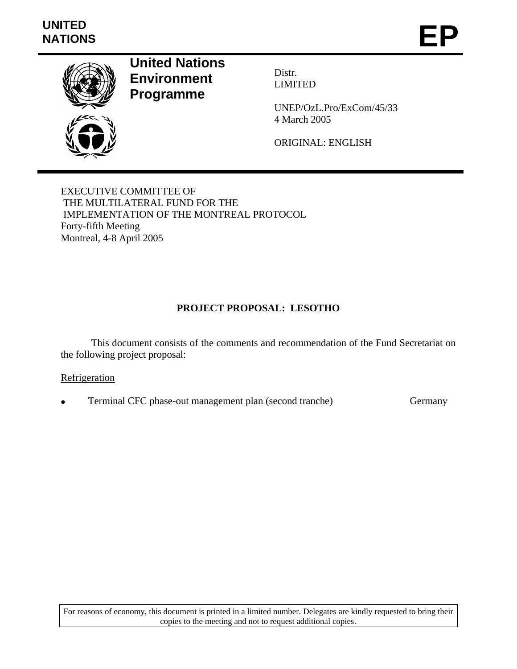

**United Nations Environment Programme** 

Distr. LIMITED

UNEP/OzL.Pro/ExCom/45/33 4 March 2005

ORIGINAL: ENGLISH

EXECUTIVE COMMITTEE OF THE MULTILATERAL FUND FOR THE IMPLEMENTATION OF THE MONTREAL PROTOCOL Forty-fifth Meeting Montreal, 4-8 April 2005

# **PROJECT PROPOSAL: LESOTHO**

 This document consists of the comments and recommendation of the Fund Secretariat on the following project proposal:

#### **Refrigeration**

Ferminal CFC phase-out management plan (second tranche) Germany

For reasons of economy, this document is printed in a limited number. Delegates are kindly requested to bring their copies to the meeting and not to request additional copies.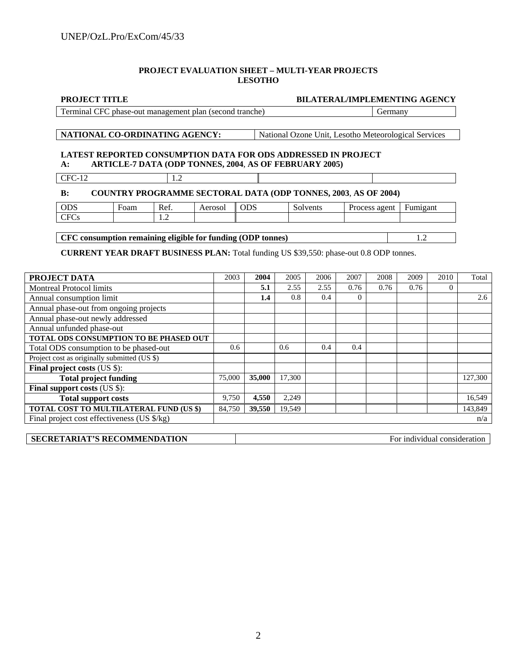#### **PROJECT EVALUATION SHEET – MULTI-YEAR PROJECTS LESOTHO**

| <b>BILATERAL/IMPLEMENTING AGENCY</b><br><b>PROJECT TITLE</b>                                                                                |  |                                                      |  |  |  |  |
|---------------------------------------------------------------------------------------------------------------------------------------------|--|------------------------------------------------------|--|--|--|--|
| Terminal CFC phase-out management plan (second tranche)                                                                                     |  | Germany                                              |  |  |  |  |
|                                                                                                                                             |  |                                                      |  |  |  |  |
| NATIONAL CO-ORDINATING AGENCY:                                                                                                              |  | National Ozone Unit, Lesotho Meteorological Services |  |  |  |  |
| <b>LATEST REPORTED CONSUMPTION DATA FOR ODS ADDRESSED IN PROJECT</b><br>ARTICLE-7 DATA (ODP TONNES, 2004, AS OF FEBRUARY 2005)<br><b>A:</b> |  |                                                      |  |  |  |  |
| $CFC-12$                                                                                                                                    |  |                                                      |  |  |  |  |
|                                                                                                                                             |  |                                                      |  |  |  |  |

#### **B: COUNTRY PROGRAMME SECTORAL DATA (ODP TONNES, 2003**, **AS OF 2004)**

| <b>ODS</b>  | ∀oam | $\mathbf{r}$<br>Ref.       | Aerosol | ODS | Solvents | Process<br>agem | $\overline{\phantom{0}}$<br>Fumigant |
|-------------|------|----------------------------|---------|-----|----------|-----------------|--------------------------------------|
| CFC<br>U US |      | <b>A</b><br>$\overline{1}$ |         |     |          |                 |                                      |
|             |      |                            |         |     |          |                 |                                      |

**CFC consumption remaining eligible for funding (ODP tonnes)** 1.2

**CURRENT YEAR DRAFT BUSINESS PLAN:** Total funding US \$39,550: phase-out 0.8 ODP tonnes.

| PROJECT DATA                                   | 2003             | 2004   | 2005   | 2006 | 2007     | 2008 | 2009 | 2010     | Total   |
|------------------------------------------------|------------------|--------|--------|------|----------|------|------|----------|---------|
| <b>Montreal Protocol limits</b>                |                  | 5.1    | 2.55   | 2.55 | 0.76     | 0.76 | 0.76 | $\Omega$ |         |
| Annual consumption limit                       |                  | 1.4    | 0.8    | 0.4  | $\Omega$ |      |      |          | 2.6     |
| Annual phase-out from ongoing projects         |                  |        |        |      |          |      |      |          |         |
| Annual phase-out newly addressed               |                  |        |        |      |          |      |      |          |         |
| Annual unfunded phase-out                      |                  |        |        |      |          |      |      |          |         |
| TOTAL ODS CONSUMPTION TO BE PHASED OUT         |                  |        |        |      |          |      |      |          |         |
| Total ODS consumption to be phased-out         | 0.6 <sub>1</sub> |        | 0.6    | 0.4  | 0.4      |      |      |          |         |
| Project cost as originally submitted (US \$)   |                  |        |        |      |          |      |      |          |         |
| <b>Final project costs (US \$):</b>            |                  |        |        |      |          |      |      |          |         |
| <b>Total project funding</b>                   | 75,000           | 35,000 | 17,300 |      |          |      |      |          | 127,300 |
| <b>Final support costs (US \$):</b>            |                  |        |        |      |          |      |      |          |         |
| <b>Total support costs</b>                     | 9,750            | 4,550  | 2,249  |      |          |      |      |          | 16,549  |
| <b>TOTAL COST TO MULTILATERAL FUND (US \$)</b> | 84.750           | 39,550 | 19,549 |      |          |      |      |          | 143,849 |
| Final project cost effectiveness (US \$/kg)    |                  |        |        | n/a  |          |      |      |          |         |

| <b>SECRETARIAT'S RECOMMENDATION</b> | For individual consideration |
|-------------------------------------|------------------------------|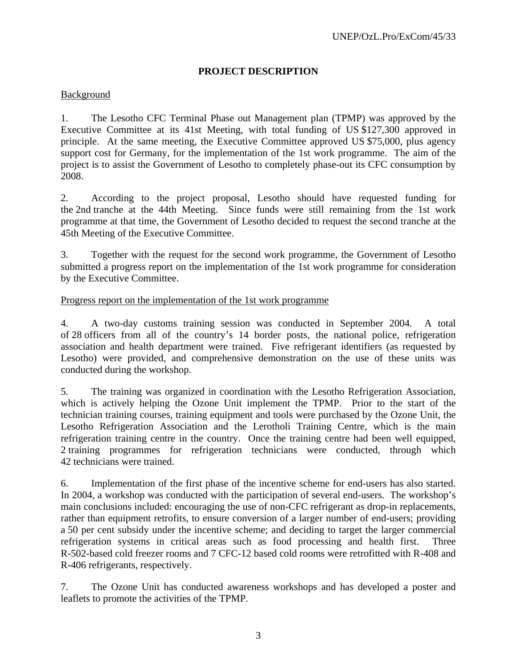# **PROJECT DESCRIPTION**

# Background

1. The Lesotho CFC Terminal Phase out Management plan (TPMP) was approved by the Executive Committee at its 41st Meeting, with total funding of US \$127,300 approved in principle. At the same meeting, the Executive Committee approved US \$75,000, plus agency support cost for Germany, for the implementation of the 1st work programme. The aim of the project is to assist the Government of Lesotho to completely phase-out its CFC consumption by 2008.

2. According to the project proposal, Lesotho should have requested funding for the 2nd tranche at the 44th Meeting. Since funds were still remaining from the 1st work programme at that time, the Government of Lesotho decided to request the second tranche at the 45th Meeting of the Executive Committee.

3. Together with the request for the second work programme, the Government of Lesotho submitted a progress report on the implementation of the 1st work programme for consideration by the Executive Committee.

#### Progress report on the implementation of the 1st work programme

4. A two-day customs training session was conducted in September 2004. A total of 28 officers from all of the country's 14 border posts, the national police, refrigeration association and health department were trained. Five refrigerant identifiers (as requested by Lesotho) were provided, and comprehensive demonstration on the use of these units was conducted during the workshop.

5. The training was organized in coordination with the Lesotho Refrigeration Association, which is actively helping the Ozone Unit implement the TPMP. Prior to the start of the technician training courses, training equipment and tools were purchased by the Ozone Unit, the Lesotho Refrigeration Association and the Lerotholi Training Centre, which is the main refrigeration training centre in the country. Once the training centre had been well equipped, 2 training programmes for refrigeration technicians were conducted, through which 42 technicians were trained.

6. Implementation of the first phase of the incentive scheme for end-users has also started. In 2004, a workshop was conducted with the participation of several end-users. The workshop's main conclusions included: encouraging the use of non-CFC refrigerant as drop-in replacements, rather than equipment retrofits, to ensure conversion of a larger number of end-users; providing a 50 per cent subsidy under the incentive scheme; and deciding to target the larger commercial refrigeration systems in critical areas such as food processing and health first. Three R-502-based cold freezer rooms and 7 CFC-12 based cold rooms were retrofitted with R-408 and R-406 refrigerants, respectively.

7. The Ozone Unit has conducted awareness workshops and has developed a poster and leaflets to promote the activities of the TPMP.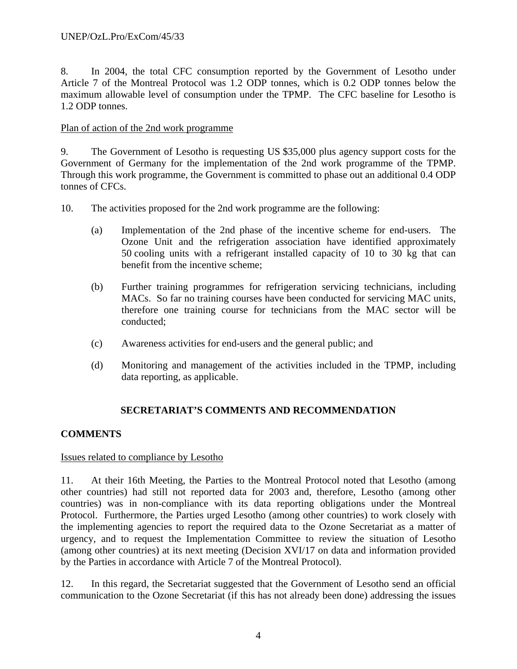8. In 2004, the total CFC consumption reported by the Government of Lesotho under Article 7 of the Montreal Protocol was 1.2 ODP tonnes, which is 0.2 ODP tonnes below the maximum allowable level of consumption under the TPMP. The CFC baseline for Lesotho is 1.2 ODP tonnes.

### Plan of action of the 2nd work programme

9. The Government of Lesotho is requesting US \$35,000 plus agency support costs for the Government of Germany for the implementation of the 2nd work programme of the TPMP. Through this work programme, the Government is committed to phase out an additional 0.4 ODP tonnes of CFCs.

10. The activities proposed for the 2nd work programme are the following:

- (a) Implementation of the 2nd phase of the incentive scheme for end-users. The Ozone Unit and the refrigeration association have identified approximately 50 cooling units with a refrigerant installed capacity of 10 to 30 kg that can benefit from the incentive scheme;
- (b) Further training programmes for refrigeration servicing technicians, including MACs. So far no training courses have been conducted for servicing MAC units, therefore one training course for technicians from the MAC sector will be conducted;
- (c) Awareness activities for end-users and the general public; and
- (d) Monitoring and management of the activities included in the TPMP, including data reporting, as applicable.

# **SECRETARIAT'S COMMENTS AND RECOMMENDATION**

# **COMMENTS**

#### Issues related to compliance by Lesotho

11. At their 16th Meeting, the Parties to the Montreal Protocol noted that Lesotho (among other countries) had still not reported data for 2003 and, therefore, Lesotho (among other countries) was in non-compliance with its data reporting obligations under the Montreal Protocol. Furthermore, the Parties urged Lesotho (among other countries) to work closely with the implementing agencies to report the required data to the Ozone Secretariat as a matter of urgency, and to request the Implementation Committee to review the situation of Lesotho (among other countries) at its next meeting (Decision XVI/17 on data and information provided by the Parties in accordance with Article 7 of the Montreal Protocol).

12. In this regard, the Secretariat suggested that the Government of Lesotho send an official communication to the Ozone Secretariat (if this has not already been done) addressing the issues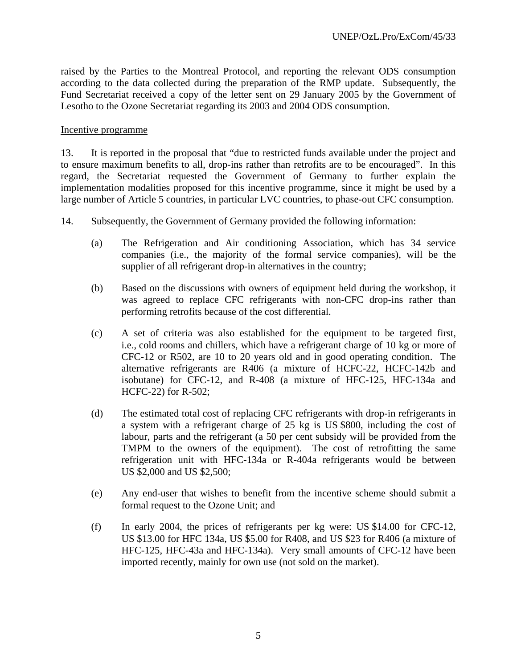raised by the Parties to the Montreal Protocol, and reporting the relevant ODS consumption according to the data collected during the preparation of the RMP update. Subsequently, the Fund Secretariat received a copy of the letter sent on 29 January 2005 by the Government of Lesotho to the Ozone Secretariat regarding its 2003 and 2004 ODS consumption.

#### Incentive programme

13. It is reported in the proposal that "due to restricted funds available under the project and to ensure maximum benefits to all, drop-ins rather than retrofits are to be encouraged". In this regard, the Secretariat requested the Government of Germany to further explain the implementation modalities proposed for this incentive programme, since it might be used by a large number of Article 5 countries, in particular LVC countries, to phase-out CFC consumption.

- 14. Subsequently, the Government of Germany provided the following information:
	- (a) The Refrigeration and Air conditioning Association, which has 34 service companies (i.e., the majority of the formal service companies), will be the supplier of all refrigerant drop-in alternatives in the country;
	- (b) Based on the discussions with owners of equipment held during the workshop, it was agreed to replace CFC refrigerants with non-CFC drop-ins rather than performing retrofits because of the cost differential.
	- (c) A set of criteria was also established for the equipment to be targeted first, i.e., cold rooms and chillers, which have a refrigerant charge of 10 kg or more of CFC-12 or R502, are 10 to 20 years old and in good operating condition. The alternative refrigerants are R406 (a mixture of HCFC-22, HCFC-142b and isobutane) for CFC-12, and R-408 (a mixture of HFC-125, HFC-134a and HCFC-22) for R-502;
	- (d) The estimated total cost of replacing CFC refrigerants with drop-in refrigerants in a system with a refrigerant charge of 25 kg is US \$800, including the cost of labour, parts and the refrigerant (a 50 per cent subsidy will be provided from the TMPM to the owners of the equipment). The cost of retrofitting the same refrigeration unit with HFC-134a or R-404a refrigerants would be between US \$2,000 and US \$2,500;
	- (e) Any end-user that wishes to benefit from the incentive scheme should submit a formal request to the Ozone Unit; and
	- (f) In early 2004, the prices of refrigerants per kg were: US \$14.00 for CFC-12, US \$13.00 for HFC 134a, US \$5.00 for R408, and US \$23 for R406 (a mixture of HFC-125, HFC-43a and HFC-134a). Very small amounts of CFC-12 have been imported recently, mainly for own use (not sold on the market).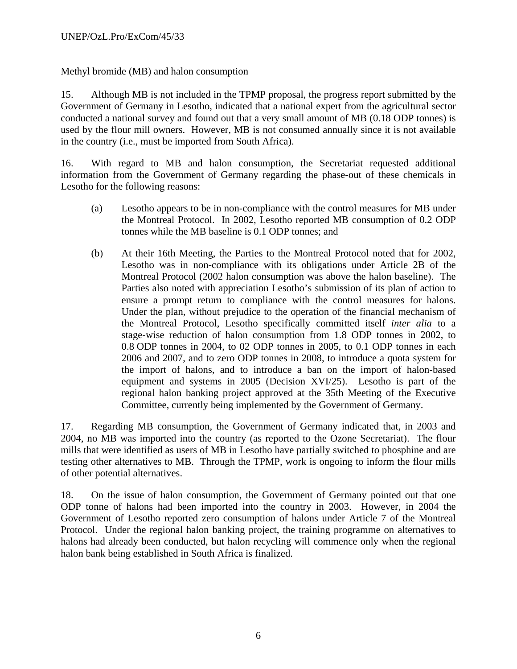# Methyl bromide (MB) and halon consumption

15. Although MB is not included in the TPMP proposal, the progress report submitted by the Government of Germany in Lesotho, indicated that a national expert from the agricultural sector conducted a national survey and found out that a very small amount of MB (0.18 ODP tonnes) is used by the flour mill owners. However, MB is not consumed annually since it is not available in the country (i.e., must be imported from South Africa).

16. With regard to MB and halon consumption, the Secretariat requested additional information from the Government of Germany regarding the phase-out of these chemicals in Lesotho for the following reasons:

- (a) Lesotho appears to be in non-compliance with the control measures for MB under the Montreal Protocol. In 2002, Lesotho reported MB consumption of 0.2 ODP tonnes while the MB baseline is 0.1 ODP tonnes; and
- (b) At their 16th Meeting, the Parties to the Montreal Protocol noted that for 2002, Lesotho was in non-compliance with its obligations under Article 2B of the Montreal Protocol (2002 halon consumption was above the halon baseline). The Parties also noted with appreciation Lesotho's submission of its plan of action to ensure a prompt return to compliance with the control measures for halons. Under the plan, without prejudice to the operation of the financial mechanism of the Montreal Protocol, Lesotho specifically committed itself *inter alia* to a stage-wise reduction of halon consumption from 1.8 ODP tonnes in 2002, to 0.8 ODP tonnes in 2004, to 02 ODP tonnes in 2005, to 0.1 ODP tonnes in each 2006 and 2007, and to zero ODP tonnes in 2008, to introduce a quota system for the import of halons, and to introduce a ban on the import of halon-based equipment and systems in 2005 (Decision XVI/25). Lesotho is part of the regional halon banking project approved at the 35th Meeting of the Executive Committee, currently being implemented by the Government of Germany.

17. Regarding MB consumption, the Government of Germany indicated that, in 2003 and 2004, no MB was imported into the country (as reported to the Ozone Secretariat). The flour mills that were identified as users of MB in Lesotho have partially switched to phosphine and are testing other alternatives to MB. Through the TPMP, work is ongoing to inform the flour mills of other potential alternatives.

18. On the issue of halon consumption, the Government of Germany pointed out that one ODP tonne of halons had been imported into the country in 2003. However, in 2004 the Government of Lesotho reported zero consumption of halons under Article 7 of the Montreal Protocol. Under the regional halon banking project, the training programme on alternatives to halons had already been conducted, but halon recycling will commence only when the regional halon bank being established in South Africa is finalized.